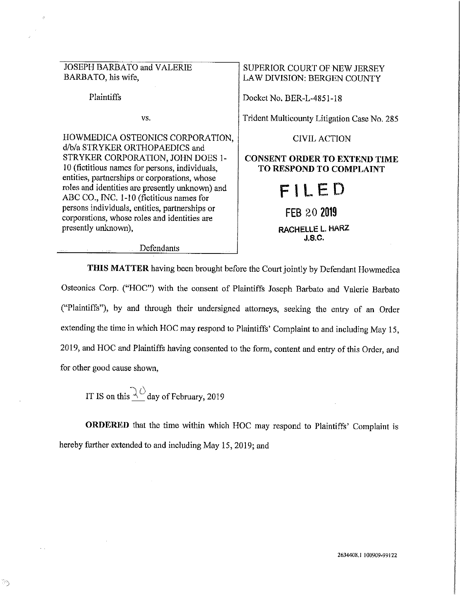JOSEPH BARBATO and VALERIE BARBATO, his wife,

Plaintiffs

vs.

HOWMEDICA OSTEONICS CORPORATION, d/b/a STRYKER ORTHOPAEDICS and STRYKER CORPORATION, JOHN DOES I-IO (fictitious names for persons, individuals, entities, partnerships or corporations, whose roles and identities are presently unknown) and ABC CO., INC. 1-10 (fictitious names for persons individuals, entities, partnerships or corporations, whose roles and identities are presently unknown),

## LAW DIVISION: BERGEN COUNTY

SUPERIOR COURT OF NEW JERSEY

Docket No. BER-L-4851-18

Trident Multicounty Litigation Case No. 285

CIVIL ACTION

## **CONSENT ORDER TO EXTEND TIME TO RESPOND TO COMPLAINT**

| FILED                      |  |  |  |
|----------------------------|--|--|--|
| FEB 20 2019                |  |  |  |
| RACHELLE L. HARZ<br>J.B.C. |  |  |  |

Defendants

**THIS MATTER** having been brought before the Court jointly by Defendant Howmedica Osteonics Corp. ("HOC") with the consent of Plaintiffs Joseph Barbato and Valerie Barbato ("Plaintiffs"), by and through their undersigned attorneys, seeking the entry of an Order extending the time in which HOC may respond to Plaintiffs' Complaint to and including May 15, 2019, and HOC and Plaintiffs having consented to the form, content and entry of this Order, and for other good cause shown,

IT IS on this  $\{ \}$  day of February, 2019

**ORDERED** that the time within which HOC may respond to Plaintiffs' Complaint is hereby further extended to and including May 15, 2019; and